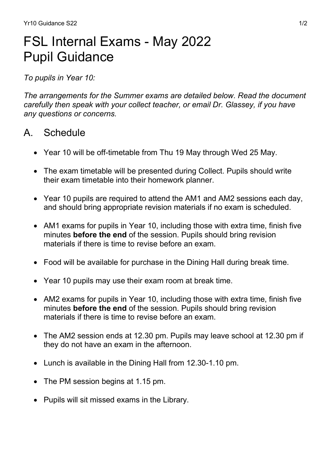# FSL Internal Exams - May 2022 Pupil Guidance

To pupils in Year 10:

The arrangements for the Summer exams are detailed below. Read the document carefully then speak with your collect teacher, or email Dr. Glassey, if you have any questions or concerns.

## A. Schedule

- Year 10 will be off-timetable from Thu 19 May through Wed 25 May.
- The exam timetable will be presented during Collect. Pupils should write their exam timetable into their homework planner.
- Year 10 pupils are required to attend the AM1 and AM2 sessions each day, and should bring appropriate revision materials if no exam is scheduled.
- AM1 exams for pupils in Year 10, including those with extra time, finish five minutes **before the end** of the session. Pupils should bring revision materials if there is time to revise before an exam.
- Food will be available for purchase in the Dining Hall during break time.
- Year 10 pupils may use their exam room at break time.
- AM2 exams for pupils in Year 10, including those with extra time, finish five minutes **before the end** of the session. Pupils should bring revision materials if there is time to revise before an exam.
- The AM2 session ends at 12.30 pm. Pupils may leave school at 12.30 pm if they do not have an exam in the afternoon.
- Lunch is available in the Dining Hall from 12.30-1.10 pm.
- The PM session begins at 1.15 pm.
- Pupils will sit missed exams in the Library.